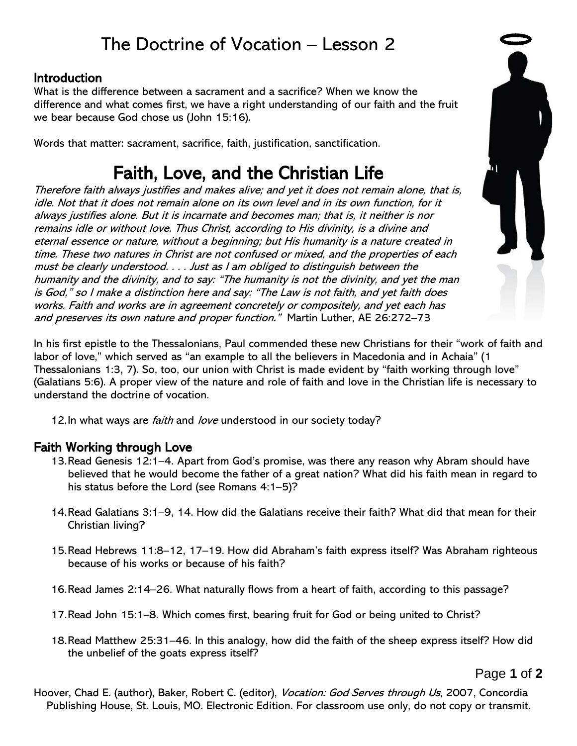# The Doctrine of Vocation – Lesson 2

#### Introduction

What is the difference between a sacrament and a sacrifice? When we know the difference and what comes first, we have a right understanding of our faith and the fruit we bear because God chose us (John 15:16).

Words that matter: sacrament, sacrifice, faith, justification, sanctification.

# Faith, Love, and the Christian Life

Therefore faith always justifies and makes alive; and yet it does not remain alone, that is, idle. Not that it does not remain alone on its own level and in its own function, for it always justifies alone. But it is incarnate and becomes man; that is, it neither is nor remains idle or without love. Thus Christ, according to His divinity, is a divine and eternal essence or nature, without a beginning; but His humanity is a nature created in time. These two natures in Christ are not confused or mixed, and the properties of each must be clearly understood. . . . Just as I am obliged to distinguish between the humanity and the divinity, and to say: "The humanity is not the divinity, and yet the man is God," so I make a distinction here and say: "The Law is not faith, and yet faith does works. Faith and works are in agreement concretely or compositely, and yet each has and preserves its own nature and proper function." Martin Luther, AE 26:272-73

In his first epistle to the Thessalonians, Paul commended these new Christians for their "work of faith and labor of love," which served as "an example to all the believers in Macedonia and in Achaia" (1 Thessalonians 1:3, 7). So, too, our union with Christ is made evident by "faith working through love" (Galatians 5:6). A proper view of the nature and role of faith and love in the Christian life is necessary to understand the doctrine of vocation.

12. In what ways are *faith* and *love* understood in our society today?

## Faith Working through Love

- 13.Read Genesis 12:1–4. Apart from God's promise, was there any reason why Abram should have believed that he would become the father of a great nation? What did his faith mean in regard to his status before the Lord (see Romans 4:1–5)?
- 14.Read Galatians 3:1–9, 14. How did the Galatians receive their faith? What did that mean for their Christian living?
- 15.Read Hebrews 11:8–12, 17–19. How did Abraham's faith express itself? Was Abraham righteous because of his works or because of his faith?
- 16.Read James 2:14–26. What naturally flows from a heart of faith, according to this passage?
- 17.Read John 15:1–8. Which comes first, bearing fruit for God or being united to Christ?
- 18.Read Matthew 25:31–46. In this analogy, how did the faith of the sheep express itself? How did the unbelief of the goats express itself?

Page **1** of **2**

Hoover, Chad E. (author), Baker, Robert C. (editor), *Vocation: God Serves through Us*, 2007, Concordia Publishing House, St. Louis, MO. Electronic Edition. For classroom use only, do not copy or transmit.